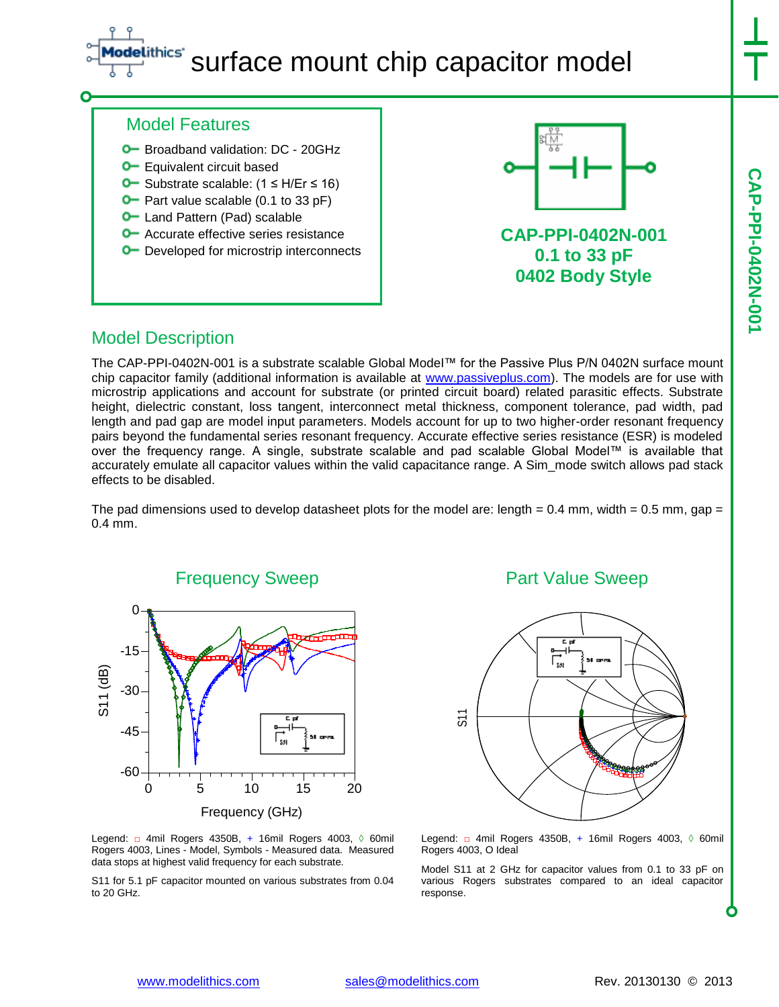# ithics' surface mount chip capacitor model

#### Model Features

- **O** Broadband validation: DC 20GHz
- **O** Equivalent circuit based
- Substrate scalable: (1 ≤ H/Er ≤ 16)
- $\bullet$  Part value scalable (0.1 to 33 pF)
- **O** Land Pattern (Pad) scalable
- **O** Accurate effective series resistance
- **O** Developed for microstrip interconnects



**CAP-PPI-0402N-001 0.1 to 33 pF 0402 Body Style**

### Model Description

The CAP-PPI-0402N-001 is a substrate scalable Global Model™ for the Passive Plus P/N 0402N surface mount chip capacitor family (additional information is available at [www.passiveplus.com\)](http://www.passiveplus.com/). The models are for use with microstrip applications and account for substrate (or printed circuit board) related parasitic effects. Substrate height, dielectric constant, loss tangent, interconnect metal thickness, component tolerance, pad width, pad length and pad gap are model input parameters. Models account for up to two higher-order resonant frequency pairs beyond the fundamental series resonant frequency. Accurate effective series resistance (ESR) is modeled over the frequency range. A single, substrate scalable and pad scalable Global Model™ is available that accurately emulate all capacitor values within the valid capacitance range. A Sim\_mode switch allows pad stack effects to be disabled.

The pad dimensions used to develop datasheet plots for the model are: length =  $0.4$  mm, width =  $0.5$  mm, gap = 0.4 mm.



Legend: □ 4mil Rogers 4350B, + 16mil Rogers 4003, ◊ 60mil Rogers 4003, Lines - Model, Symbols - Measured data. Measured data stops at highest valid frequency for each substrate.

S11 for 5.1 pF capacitor mounted on various substrates from 0.04 to 20 GHz.

### Part Value Sweep



Legend: □ 4mil Rogers 4350B, + 16mil Rogers 4003, ◊ 60mil Rogers 4003, O Ideal

Model S11 at 2 GHz for capacitor values from 0.1 to 33 pF on various Rogers substrates compared to an ideal capacitor response.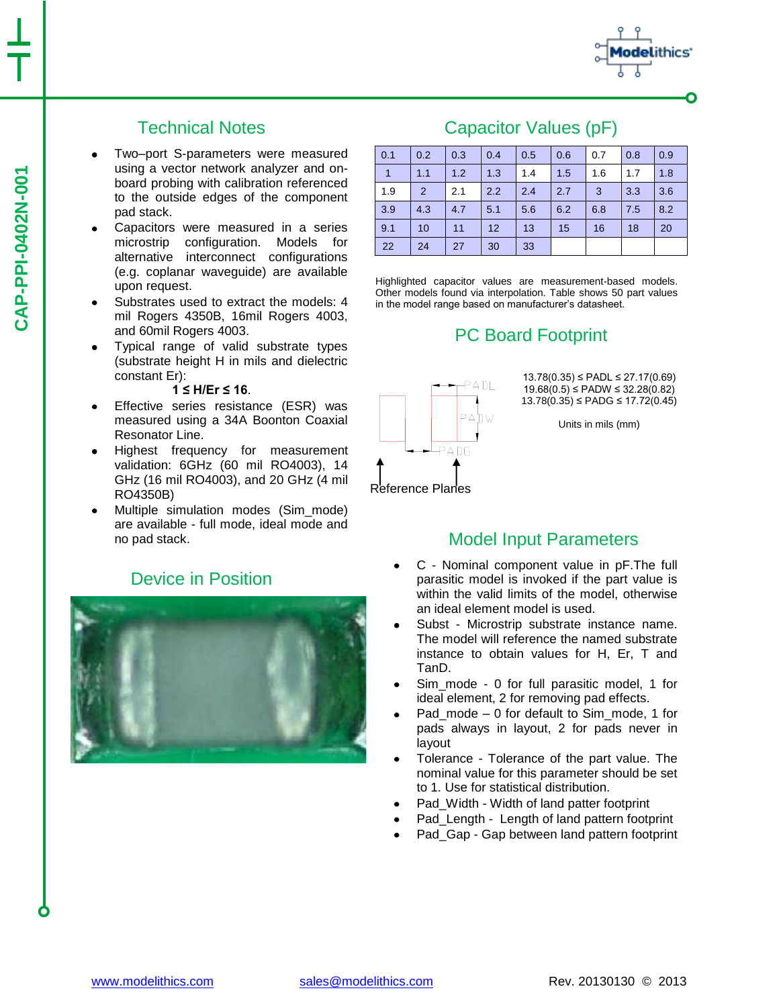

# Technical Notes

- Two–port S-parameters were measured using a vector network analyzer and onboard probing with calibration referenced to the outside edges of the component pad stack.
- Capacitors were measured in a series microstrip configuration. Models for alternative interconnect configurations (e.g. coplanar waveguide) are available upon request.
- Substrates used to extract the models: 4 mil Rogers 4350B, 16mil Rogers 4003, and 60mil Rogers 4003.
- Typical range of valid substrate types (substrate height H in mils and dielectric constant Er):

#### **1 ≤ H/Er ≤ 16**.

- Effective series resistance (ESR) was measured using a 34A Boonton Coaxial Resonator Line.
- Highest frequency for measurement validation: 6GHz (60 mil RO4003), 14 GHz (16 mil RO4003), and 20 GHz (4 mil RO4350B)
- Multiple simulation modes (Sim\_mode) are available - full mode, ideal mode and no pad stack.

## Device in Position



## Capacitor Values (pF)

| 0.1 | 0.2            | 0.3 | 0.4 | 0.5 | 0.6 | 0.7 | 0.8 | 0.9 |
|-----|----------------|-----|-----|-----|-----|-----|-----|-----|
| 1   | 1.1            | 1.2 | 1.3 | 1.4 | 1.5 | 1.6 | 1.7 | 1.8 |
| 1.9 | $\overline{2}$ | 2.1 | 2.2 | 2.4 | 2.7 | 3   | 3.3 | 3.6 |
| 3.9 | 4.3            | 4.7 | 5.1 | 5.6 | 6.2 | 6.8 | 7.5 | 8.2 |
| 9.1 | 10             | 11  | 12  | 13  | 15  | 16  | 18  | 20  |
| 22  | 24             | 27  | 30  | 33  |     |     |     |     |

Highlighted capacitor values are measurement-based models. Other models found via interpolation. Table shows 50 part values in the model range based on manufacturer's datasheet.

# PC Board Footprint



13.78(0.35) ≤ PADL ≤ 27.17(0.69) 19.68(0.5) ≤ PADW ≤ 32.28(0.82) 13.78(0.35) ≤ PADG ≤ 17.72(0.45)

Units in mils (mm)

#### Reference Planes

### Model Input Parameters

- C Nominal component value in pF.The full parasitic model is invoked if the part value is within the valid limits of the model, otherwise an ideal element model is used.
- Subst Microstrip substrate instance name. The model will reference the named substrate instance to obtain values for H, Er, T and TanD.
- Sim\_mode 0 for full parasitic model, 1 for ideal element, 2 for removing pad effects.
- Pad\_mode 0 for default to Sim\_mode, 1 for pads always in layout, 2 for pads never in layout
- Tolerance Tolerance of the part value. The nominal value for this parameter should be set to 1. Use for statistical distribution.
- Pad\_Width Width of land patter footprint
- Pad Length Length of land pattern footprint
- Pad Gap Gap between land pattern footprint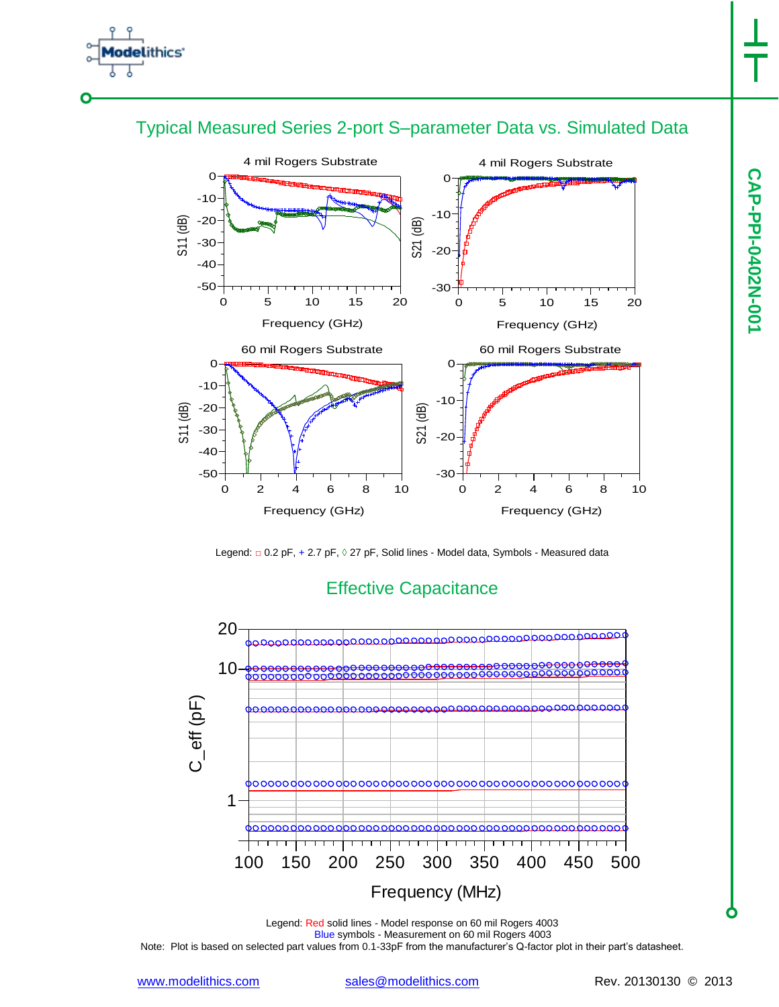

## Typical Measured Series 2-port S–parameter Data vs. Simulated Data



Legend: □ 0.2 pF, + 2.7 pF, 0 27 pF, Solid lines - Model data, Symbols - Measured data



## Effective Capacitance

Legend: Red solid lines - Model response on 60 mil Rogers 4003 Blue symbols - Measurement on 60 mil Rogers 4003 Note: Plot is based on selected part values from 0.1-33pF from the manufacturer's Q-factor plot in their part's datasheet.